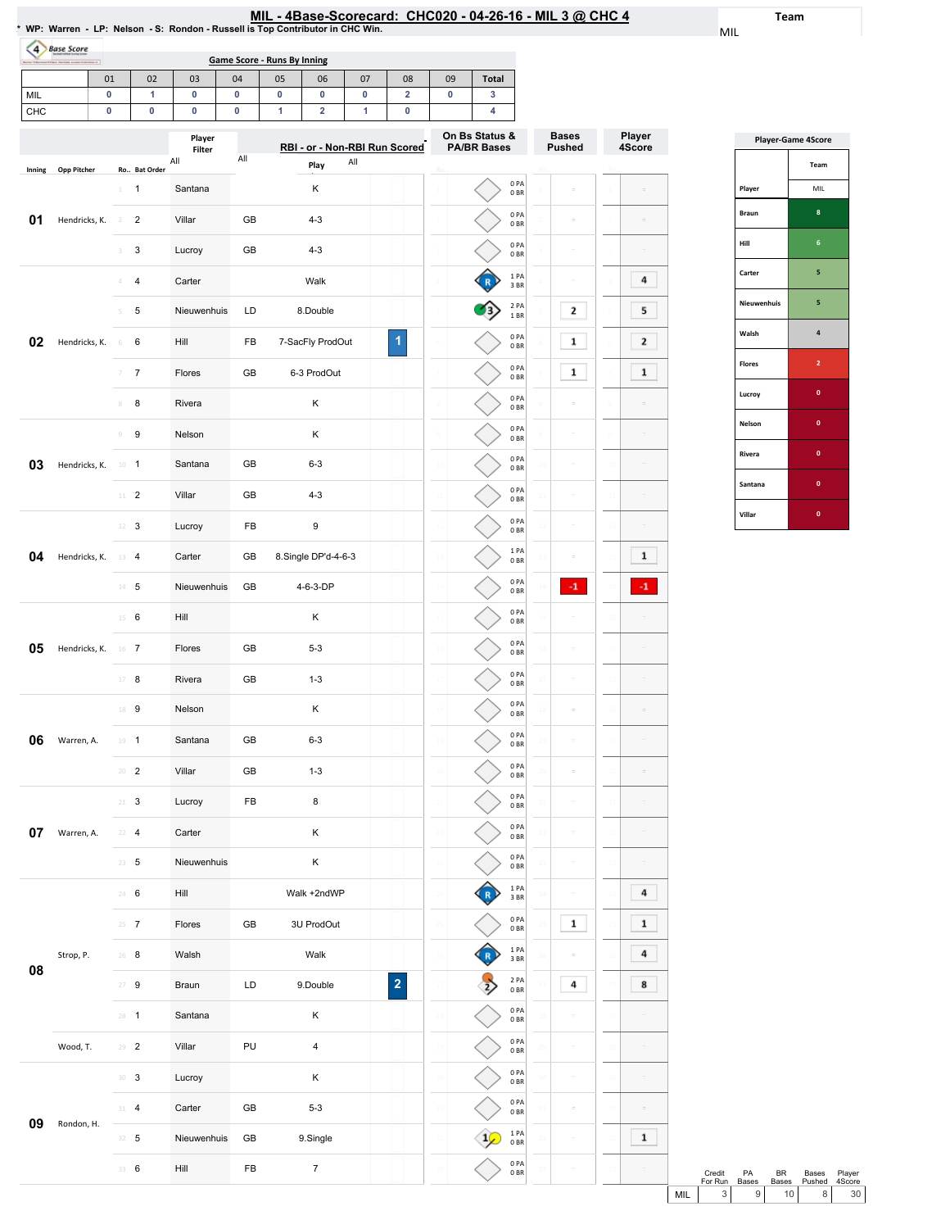|                                                                                | MIL - 4Base-Scorecard: CHC020 - 04-26-16 - MIL 3 @ CHC 4 |  |
|--------------------------------------------------------------------------------|----------------------------------------------------------|--|
| * WP: Warren - LP: Nelson - S: Rondon - Russell is Top Contributor in CHC Win. |                                                          |  |

Team

MIL

| ×          | an Machine average photosum at<br>01 |                 | 02                           | 03             | 04             | <b>Game Score - Runs By Inning</b><br>05 | 06                           | 07     | 08                            | 09        | Total              |                                 |               |        |
|------------|--------------------------------------|-----------------|------------------------------|----------------|----------------|------------------------------------------|------------------------------|--------|-------------------------------|-----------|--------------------|---------------------------------|---------------|--------|
| MIL<br>CHC | 0<br>$\pmb{0}$                       |                 | 1<br>0                       | $\pmb{0}$<br>0 | 0<br>$\pmb{0}$ | 0<br>1                                   | 0<br>$\overline{\mathbf{2}}$ | 0<br>1 | $\overline{\mathbf{2}}$<br>0  | $\pmb{0}$ | $\mathbf{3}$<br>4  |                                 |               |        |
|            |                                      |                 |                              | Player         |                |                                          |                              |        |                               |           | On Bs Status &     |                                 | <b>Bases</b>  | Player |
|            |                                      |                 |                              | Filter<br>All  | All            |                                          | Play                         | All    | RBI - or - Non-RBI Run Scored |           | <b>PA/BR Bases</b> |                                 | <b>Pushed</b> | 4Score |
| Inning     | <b>Opp Pitcher</b>                   | $1 -$           | Ro Bat Order<br>$\mathbf{1}$ | Santana        |                |                                          | κ                            |        |                               |           |                    | 0PA<br>0B                       |               |        |
| 01         | Hendricks, K.                        | $^{2}$          | $\overline{2}$               | Villar         | GB             |                                          | $4 - 3$                      |        |                               |           |                    | 0PA<br>0BR                      |               |        |
|            |                                      | 3               | $\mathsf 3$                  | Lucroy         | GB             |                                          | $4 - 3$                      |        |                               |           |                    | 0PA<br>0BR                      | ÷             |        |
|            |                                      | 4               | $\overline{\mathbf{4}}$      | Carter         |                |                                          | Walk                         |        |                               |           |                    | 1 PA                            | ÷             | 4      |
|            |                                      | 5               | 5                            | Nieuwenhuis    | LD             |                                          | 8.Double                     |        |                               |           |                    | 3BR<br>2 PA<br>$1\;\mathrm{BR}$ | 2             | 5      |
| 02         | Hendricks, K.                        | 6               | 6                            | Hill           | FB             |                                          | 7-SacFly ProdOut             |        | 1                             |           |                    | 0PA                             | 1             | 2      |
|            |                                      | 7               | $\overline{7}$               | Flores         | GB             |                                          | 6-3 ProdOut                  |        |                               |           |                    | 0BR<br>0PA                      | $\mathbf 1$   | 1      |
|            |                                      | 8               | 8                            | Rivera         |                |                                          | Κ                            |        |                               |           |                    | 0 <sub>BR</sub><br>0PA          |               |        |
|            |                                      | 9               | $\boldsymbol{9}$             | Nelson         |                |                                          | Κ                            |        |                               |           |                    | 0BR<br>0PA                      |               |        |
| 03         | Hendricks, K.                        | $10 - 1$        |                              | Santana        |                | $6 - 3$<br>GB                            |                              |        |                               |           |                    | 0BR<br>0PA                      | $\equiv$      |        |
|            |                                      | $11$ – $2$      |                              | Villar         | GB             |                                          | $4 - 3$                      |        |                               |           |                    | 0BR<br>0PA                      | $\equiv$      |        |
|            |                                      | $12 - 3$        |                              | Lucroy         | FB             |                                          | 9                            |        |                               |           |                    | 0B<br>0PA                       |               |        |
| 04         | Hendricks, K.                        | 13              | 4                            | Carter         | GB             |                                          | 8.Single DP'd-4-6-3          |        |                               |           |                    | 0BR<br>1PA                      |               | 1      |
|            |                                      | $14 - 5$        |                              | Nieuwenhuis    | GB             |                                          | 4-6-3-DP                     |        |                               |           |                    | 0 BR<br>0PA                     | $-1$          | $-1$   |
|            |                                      | $15 \t 6$       |                              | Hill           |                |                                          | Κ                            |        |                               |           |                    | 0BR<br>0PA                      |               |        |
|            |                                      |                 |                              |                |                |                                          |                              |        |                               |           |                    | 0BR<br>0PA                      |               |        |
| 05         | Hendricks, K.                        | $16$ 7          |                              | Flores         | GB             |                                          | $5 - 3$                      |        |                               |           |                    | 0BR<br>0PA                      |               |        |
|            |                                      | $17 - 8$        |                              | Rivera         | GB             |                                          | $1 - 3$                      |        |                               |           |                    | 0 <sub>BR</sub><br>0PA          | ÷             |        |
|            |                                      | 18 9            |                              | Nelson         |                |                                          | Κ                            |        |                               |           |                    | 0B<br>0PA                       | $\equiv$      |        |
| 06         | Warren, A.                           | $19 - 1$        |                              | Santana        | GB             |                                          | $6 - 3$                      |        |                               |           |                    | 0BR<br>0PA                      |               |        |
|            |                                      | $20 - 2$        |                              | Villar         | GB             |                                          | $1 - 3$                      |        |                               |           |                    | $0\;\mathrm{BR}$<br>0PA         |               |        |
|            |                                      | $21 \t3$        |                              | Lucroy         | FB             |                                          | 8                            |        |                               |           |                    | 0B                              | ÷             |        |
| 07         | Warren, A.                           | $22 - 4$        |                              | Carter         |                |                                          | Κ                            |        |                               |           |                    | 0PA<br>$0\;\mathrm{BR}$         |               |        |
|            |                                      | $23 - 5$        |                              | Nieuwenhuis    |                |                                          | Κ                            |        |                               |           |                    | 0PA<br>$0\;\mathrm{BR}$         |               |        |
|            |                                      | 24 6            |                              | Hill           |                |                                          | Walk +2ndWP                  |        |                               |           |                    | 1PA<br>3 BR                     | $\bar{a}$     | 4      |
|            |                                      | $25 - 7$        |                              | Flores         | GB             |                                          | 3U ProdOut                   |        |                               |           |                    | 0PA<br>$0\;\mathrm{BR}$         | $\mathbf 1$   | 1      |
| 08         | Strop, P.                            | $26$ 8          |                              | Walsh          |                |                                          | Walk                         |        |                               |           |                    | 1PA<br>3 BR                     |               | 4      |
|            |                                      | $27 - 9$        |                              | Braun          | LD             |                                          | 9.Double                     |        | $\overline{\mathbf{c}}$       |           |                    | 2 PA<br>0B                      | 4             | 8      |
|            |                                      | $28 - 1$        |                              | Santana        |                |                                          | Κ                            |        |                               |           |                    | 0PA<br>$0\;\mathrm{BR}$         |               |        |
|            | Wood, T.                             | $29 - 2$        |                              | Villar         | PU             |                                          | 4                            |        |                               |           |                    | 0PA<br>$0\;\mathrm{BR}$         |               |        |
|            |                                      | 30 <sup>3</sup> |                              | Lucroy         |                |                                          | Κ                            |        |                               |           |                    | 0PA<br>$0\;\mathrm{BR}$         | ÷             |        |
| 09         | Rondon, H.                           | 31 4            |                              | Carter         | GB             |                                          | $5 - 3$                      |        |                               |           |                    | 0PA<br>0B                       | ċ             |        |
|            |                                      | $32 - 5$        |                              | Nieuwenhuis    | GB             |                                          | 9.Single                     |        |                               |           |                    | 1PA<br>0B                       |               | 1      |
|            |                                      | 33 6            |                              | Hill           | FB             |                                          | $\boldsymbol{7}$             |        |                               |           |                    | $0$ PA<br>0B                    |               |        |

4 Base Score

| <b>Player-Game 4Score</b> |                |  |  |  |  |  |  |  |  |
|---------------------------|----------------|--|--|--|--|--|--|--|--|
|                           | Team           |  |  |  |  |  |  |  |  |
| Player                    | MIL            |  |  |  |  |  |  |  |  |
| <b>Braun</b>              | 8              |  |  |  |  |  |  |  |  |
| Hill                      | 6              |  |  |  |  |  |  |  |  |
| Carter                    | 5              |  |  |  |  |  |  |  |  |
| Nieuwenhuis               | 5              |  |  |  |  |  |  |  |  |
| Walsh                     | 4              |  |  |  |  |  |  |  |  |
| <b>Flores</b>             | $\overline{a}$ |  |  |  |  |  |  |  |  |
| Lucroy                    | O              |  |  |  |  |  |  |  |  |
| Nelson                    | Ō              |  |  |  |  |  |  |  |  |
| Rivera                    | O              |  |  |  |  |  |  |  |  |
| Santana                   | O              |  |  |  |  |  |  |  |  |
| Villar                    | O              |  |  |  |  |  |  |  |  |

Credit ForRun PA Bases Credit PA BR Bases Player<br>
For Run Bases Bases Pushed 4Score<br>
MIL 3 9 10 8 30 Bases Pushed Player 4Score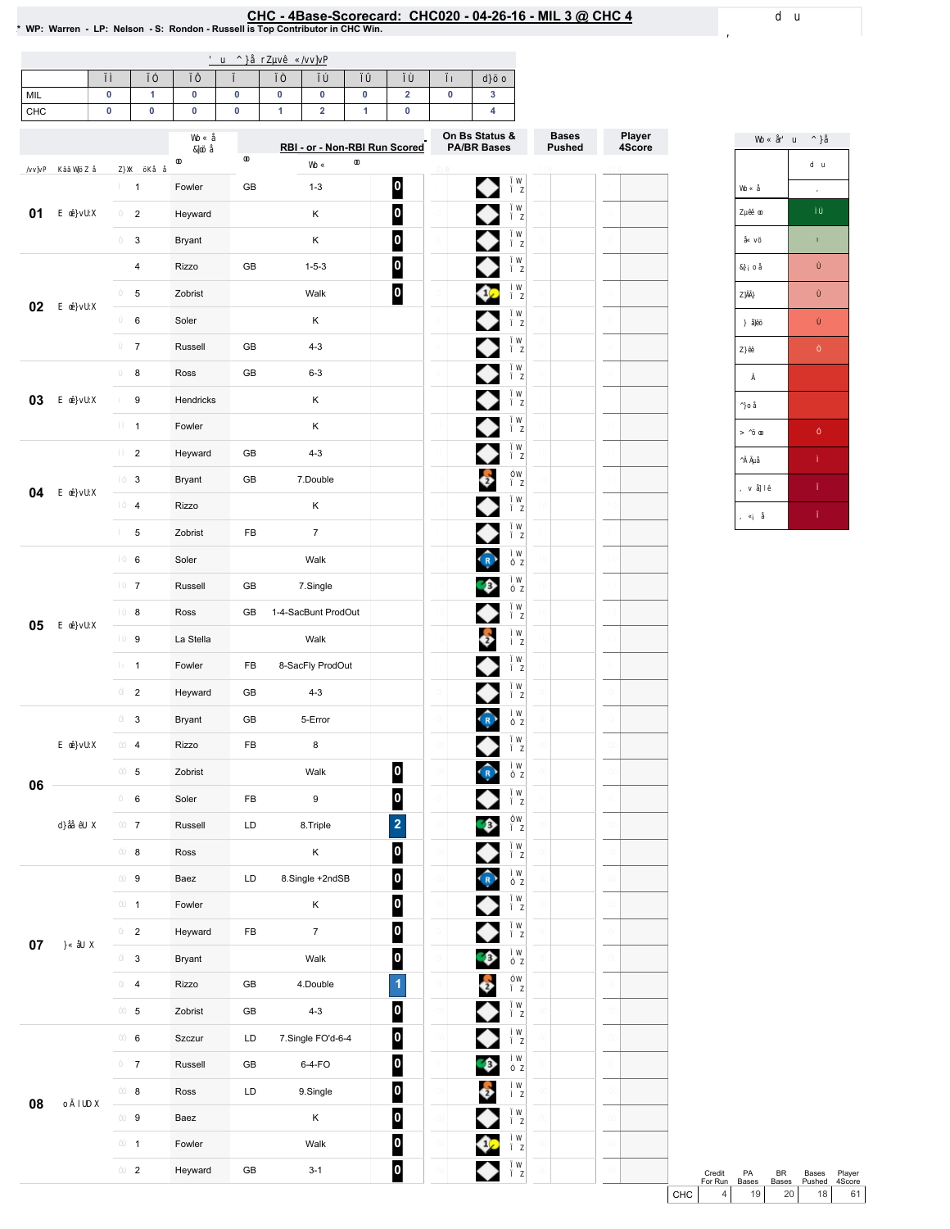## EHC - 4Base-Scorecard: CHC020 - 04-26-16 - MIL 3 @ CHC 4<br>\* WP: Warren - LP: Nelson - S: Rondon - Russell is Top Contributor in CHC Win.

| MIL |  |  |  |  |  |
|-----|--|--|--|--|--|
| CHC |  |  |  |  |  |

|        |                         |                   | RBI - or - Non-RBI Run Scored |                     | On Bs Status &<br><b>PA/BR Bases</b> | <b>Bases</b><br><b>Pushed</b> | Player<br>4Score |  |
|--------|-------------------------|-------------------|-------------------------------|---------------------|--------------------------------------|-------------------------------|------------------|--|
|        | $\mathbf{1}$            | Fowler            | GB                            | $1 - 3$             |                                      |                               |                  |  |
| 01     | $\overline{\mathbf{c}}$ |                   |                               | Κ                   | $\bf{0}$<br>0                        | ◆                             |                  |  |
|        | 3                       | Heyward<br>Bryant |                               | Κ                   |                                      | ◆                             |                  |  |
|        | $\overline{\mathbf{4}}$ |                   |                               |                     | $\overline{\mathbf{0}}$              | ♦                             |                  |  |
|        |                         | Rizzo             | GB                            | $1 - 5 - 3$         | $\overline{\mathbf{0}}$              | ♦                             |                  |  |
| 02     | 5                       | Zobrist           |                               | Walk                | $\overline{\mathsf{P}}$              | ♦                             |                  |  |
|        | 6                       | Soler             |                               | Κ                   |                                      | ♦                             |                  |  |
|        | $\overline{7}$          | Russell           | GB                            | $4 - 3$             |                                      | ♦                             |                  |  |
|        | 8                       | Ross              | GB                            | $6 - 3$             |                                      | ♦                             |                  |  |
| 03     | 9                       | Hendricks         |                               | Κ                   |                                      | ◆                             |                  |  |
|        | $\mathbf{1}$            | Fowler            |                               | Κ                   |                                      | ♦                             |                  |  |
|        | $\overline{\mathbf{c}}$ | Heyward           | GB                            | $4 - 3$             |                                      |                               |                  |  |
| 04     | 3                       | Bryant            | GB                            | 7.Double            |                                      | $\ddot{\bm{z}}$               |                  |  |
|        | $\overline{\mathbf{4}}$ | Rizzo             |                               | Κ                   |                                      | ♦                             |                  |  |
|        | 5                       | Zobrist           | FB                            | $\overline{7}$      |                                      | ♦                             |                  |  |
|        | 6                       | Soler             |                               | Walk                |                                      | $\hat{R}$                     |                  |  |
|        | $\overline{7}$          | Russell           | GB                            | 7.Single            |                                      | Ģ                             |                  |  |
| 05     | 8                       | Ross              | GB                            | 1-4-SacBunt ProdOut |                                      | ♦                             |                  |  |
|        | 9                       | La Stella         |                               | Walk                |                                      | $\ddot{\bullet}$              |                  |  |
|        | $\mathbf{1}$            | Fowler            | FB                            | 8-SacFly ProdOut    |                                      | ♦                             |                  |  |
|        | $\overline{2}$          | Heyward           | GB                            | $4 - 3$             |                                      | ♦                             |                  |  |
|        | 3                       | <b>Bryant</b>     | GB                            | 5-Error             |                                      | $\frac{1}{2}$                 |                  |  |
|        | $\overline{\mathbf{4}}$ | Rizzo             | FB                            | 8                   |                                      | ♦                             |                  |  |
| 06     | 5                       | Zobrist           |                               | Walk                | 0                                    | $\hat{R}$                     |                  |  |
|        | 6                       | Soler             | FB                            | 9                   | $\overline{\mathbf{0}}$              |                               |                  |  |
|        | $\overline{7}$          | Russell           | LD                            | 8. Triple           | $\overline{2}$                       | Ģ                             |                  |  |
|        | 8                       | Ross              |                               | Κ                   | $\overline{\mathbf{0}}$              | ♦                             |                  |  |
|        | 9                       | Baez              | LD                            | 8.Single +2ndSB     | $\overline{\mathbf{0}}$              | $\hat{R}$                     |                  |  |
|        | $\mathbf{1}$            | Fowler            |                               | Κ                   | $\overline{\mathbf{0}}$              | ◆                             |                  |  |
|        | $\overline{2}$          | Heyward           | FB                            | $\boldsymbol{7}$    | $\overline{\mathbf{0}}$              | ♦                             |                  |  |
| $07\,$ | 3                       | Bryant            |                               | Walk                | $\boldsymbol{0}$                     |                               |                  |  |
|        | $\overline{\mathbf{4}}$ | Rizzo             | GB                            | 4.Double            | $\overline{\mathbf{1}}$              | $\frac{1}{2}$                 |                  |  |
|        | $\overline{5}$          | Zobrist           | GB                            | $4 - 3$             | $\overline{\mathbf{0}}$              |                               |                  |  |
|        | 6                       | Szczur            | LD                            | 7.Single FO'd-6-4   | $\overline{\mathbf{0}}$              | ◆                             |                  |  |
|        | $\overline{7}$          | Russell           | GB                            | 6-4-FO              | $\overline{\mathbf{0}}$              | Ø                             |                  |  |
|        | 8                       | Ross              | LD                            | 9.Single            | $\overline{\mathbf{0}}$              | Ş                             |                  |  |
| 08     | 9                       | Baez              |                               | Κ                   | $\bf{0}$                             |                               |                  |  |
|        | $\mathbf{1}$            | Fowler            |                               | Walk                | $\boldsymbol{0}$                     | Ø                             |                  |  |
|        | $\overline{2}$          | Heyward           | GB                            | $3 - 1$             | $\overline{\mathbf{0}}$              |                               |                  |  |



Credit PA BR Bases Player<br>
For Run Bases Bases Pushed 4Score<br>
CHC 4 19 20 18 61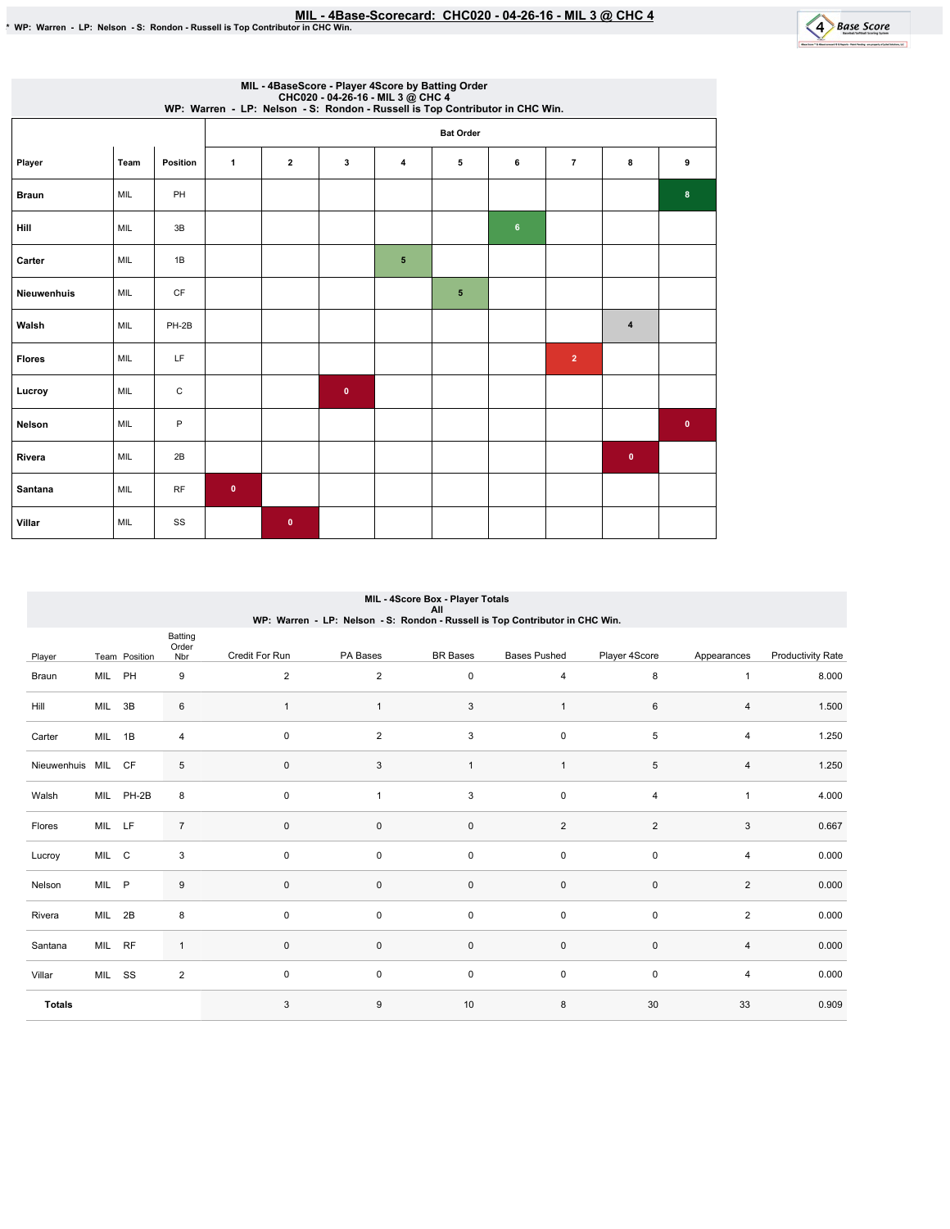

| MIL - 4BaseScore - Player 4Score by Batting Order<br>CHC020 - 04-26-16 - MIL 3 @ CHC4<br>WP: Warren - LP: Nelson - S: Rondon - Russell is Top Contributor in CHC Win. |      |                 |              |                         |           |   |                  |                |                |           |              |  |
|-----------------------------------------------------------------------------------------------------------------------------------------------------------------------|------|-----------------|--------------|-------------------------|-----------|---|------------------|----------------|----------------|-----------|--------------|--|
|                                                                                                                                                                       |      |                 |              |                         |           |   | <b>Bat Order</b> |                |                |           |              |  |
| Player                                                                                                                                                                | Team | <b>Position</b> | $\mathbf{1}$ | $\overline{\mathbf{2}}$ | 3         | 4 | 5                | 6              | $\overline{7}$ | 8         | 9            |  |
| <b>Braun</b>                                                                                                                                                          | MIL  | PH              |              |                         |           |   |                  |                |                |           | 8            |  |
| Hill                                                                                                                                                                  | MIL  | 3B              |              |                         |           |   |                  | $6\phantom{1}$ |                |           |              |  |
| Carter                                                                                                                                                                | MIL  | 1B              |              |                         |           | 5 |                  |                |                |           |              |  |
| Nieuwenhuis                                                                                                                                                           | MIL  | <b>CF</b>       |              |                         |           |   | 5                |                |                |           |              |  |
| Walsh                                                                                                                                                                 | MIL  | PH-2B           |              |                         |           |   |                  |                |                | $\pmb{4}$ |              |  |
| <b>Flores</b>                                                                                                                                                         | MIL  | LF              |              |                         |           |   |                  |                | $\overline{2}$ |           |              |  |
| Lucroy                                                                                                                                                                | MIL  | $\mathsf C$     |              |                         | $\pmb{0}$ |   |                  |                |                |           |              |  |
| Nelson                                                                                                                                                                | MIL  | P               |              |                         |           |   |                  |                |                |           | $\mathbf{0}$ |  |
| Rivera                                                                                                                                                                | MIL  | 2B              |              |                         |           |   |                  |                |                | $\bullet$ |              |  |
| Santana                                                                                                                                                               | MIL  | <b>RF</b>       | $\bullet$    |                         |           |   |                  |                |                |           |              |  |
| Villar                                                                                                                                                                | MIL  | SS              |              | $\mathbf{0}$            |           |   |                  |                |                |           |              |  |

# MIL - 4Score Box - Player Totals

All WP:Warren-LP:Nelson-S:Rondon-RussellisTopContributorinCHCWin.

|                 |        |               | Batting<br>Order |                |                |                     |                     |                |                |                          |
|-----------------|--------|---------------|------------------|----------------|----------------|---------------------|---------------------|----------------|----------------|--------------------------|
| Player          |        | Team Position | Nbr              | Credit For Run | PA Bases       | <b>BR</b> Bases     | <b>Bases Pushed</b> | Player 4Score  | Appearances    | <b>Productivity Rate</b> |
| Braun           | MIL PH |               | 9                | $\overline{2}$ | $\overline{2}$ | $\mathbf 0$         | $\overline{4}$      | 8              | $\mathbf{1}$   | 8.000                    |
| Hill            | MIL 3B |               | 6                | $\mathbf{1}$   |                | 3                   | $\mathbf{1}$        | 6              | $\overline{4}$ | 1.500                    |
| Carter          | MIL 1B |               | $\overline{4}$   | 0              | $\overline{c}$ | 3                   | $\mathbf 0$         | 5              | 4              | 1.250                    |
| Nieuwenhuis MIL |        | CF            | 5                | $\pmb{0}$      | 3              | $\mathbf{1}$        | $\overline{1}$      | $\,$ 5 $\,$    | 4              | 1.250                    |
| Walsh           |        | MIL PH-2B     | 8                | $\pmb{0}$      | $\overline{1}$ | 3                   | $\mathbf 0$         | $\overline{4}$ | $\mathbf{1}$   | 4.000                    |
| Flores          | MIL LF |               | $\overline{7}$   | $\pmb{0}$      | $\mathsf 0$    | $\mathsf{O}\xspace$ | $\overline{2}$      | $\overline{2}$ | 3              | 0.667                    |
| Lucroy          | MIL C  |               | 3                | 0              | 0              | $\mathbf 0$         | $\mathbf 0$         | $\mathbf 0$    | 4              | 0.000                    |
| Nelson          | MIL P  |               | 9                | $\mathbf 0$    | $\mathsf 0$    | $\mathsf{O}\xspace$ | $\mathsf{O}\xspace$ | $\mathbf 0$    | $\overline{2}$ | 0.000                    |
| Rivera          | MIL 2B |               | 8                | $\mathbf 0$    | $\mathbf 0$    | $\mathbf 0$         | $\mathbf 0$         | $\mathbf 0$    | $\overline{2}$ | 0.000                    |
| Santana         | MIL RF |               | $\mathbf{1}$     | $\pmb{0}$      | $\mathbf{0}$   | $\mathsf{O}\xspace$ | $\mathsf{O}\xspace$ | $\pmb{0}$      | 4              | 0.000                    |
| Villar          | MIL SS |               | $\overline{2}$   | 0              | 0              | $\mathbf 0$         | $\mathbf 0$         | $\mathbf 0$    | 4              | 0.000                    |
| <b>Totals</b>   |        |               |                  | 3              | $9\,$          | 10                  | 8                   | 30             | 33             | 0.909                    |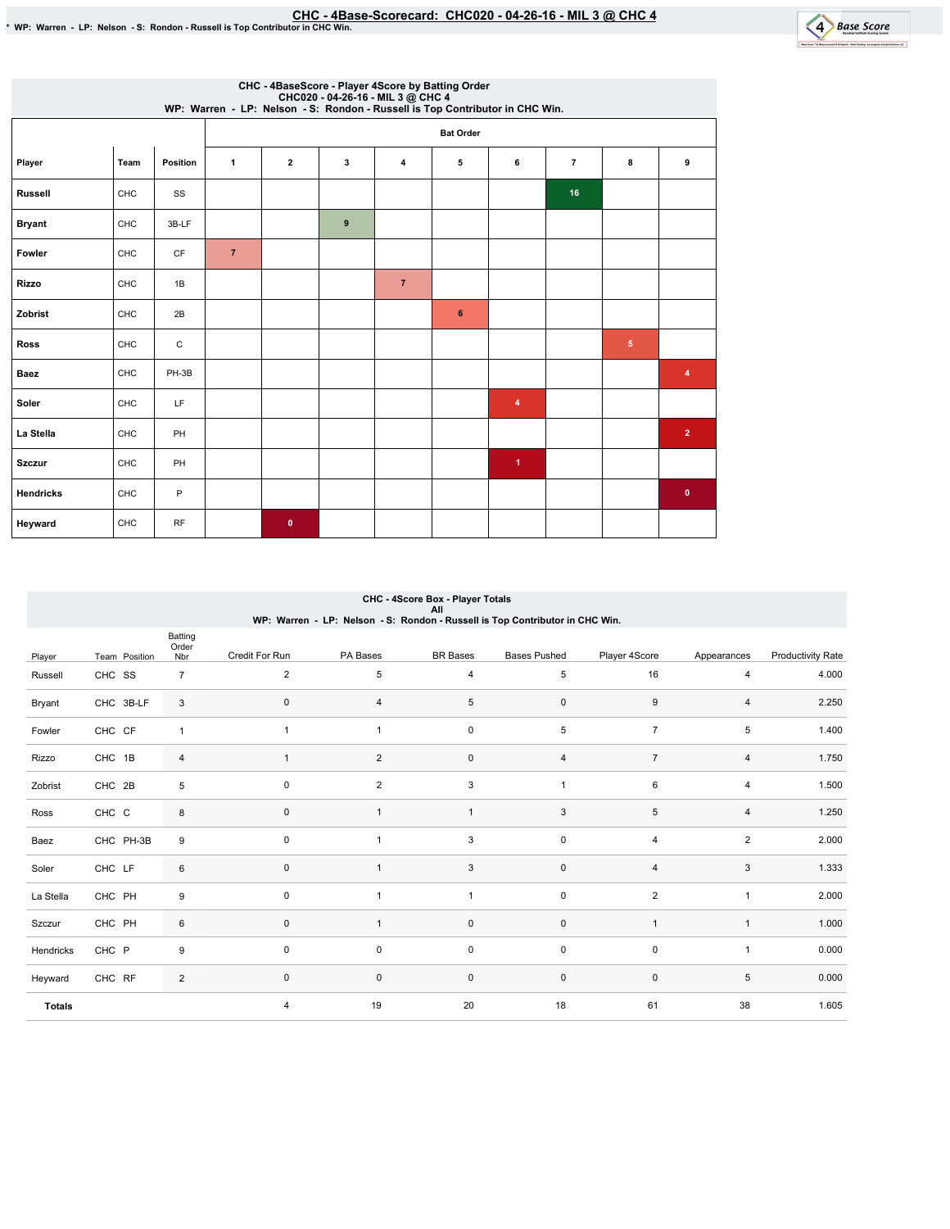

 $\overline{\phantom{a}}$ 

| CHC - 4BaseScore - Player 4Score by Batting Order<br>CHC020 - 04-26-16 - MIL 3 @ CHC 4<br>WP: Warren - LP: Nelson - S: Rondon - Russell is Top Contributor in CHC Win. |      |           |                |                         |           |                |                  |              |                |                |                |  |  |
|------------------------------------------------------------------------------------------------------------------------------------------------------------------------|------|-----------|----------------|-------------------------|-----------|----------------|------------------|--------------|----------------|----------------|----------------|--|--|
|                                                                                                                                                                        |      |           |                |                         |           |                | <b>Bat Order</b> |              |                |                |                |  |  |
| Player                                                                                                                                                                 | Team | Position  | 1              | $\overline{\mathbf{2}}$ | 3         | 4              | 5                | 6            | $\overline{7}$ | 8              | 9              |  |  |
| <b>Russell</b>                                                                                                                                                         | CHC  | SS        |                |                         |           |                |                  |              | 16             |                |                |  |  |
| <b>Bryant</b>                                                                                                                                                          | CHC  | 3B-LF     |                |                         | $\pmb{9}$ |                |                  |              |                |                |                |  |  |
| Fowler                                                                                                                                                                 | CHC  | CF        | $\overline{7}$ |                         |           |                |                  |              |                |                |                |  |  |
| <b>Rizzo</b>                                                                                                                                                           | CHC  | 1B        |                |                         |           | $\overline{7}$ |                  |              |                |                |                |  |  |
| Zobrist                                                                                                                                                                | CHC  | 2B        |                |                         |           |                | $\bf 6$          |              |                |                |                |  |  |
| <b>Ross</b>                                                                                                                                                            | CHC  | C         |                |                         |           |                |                  |              |                | 5 <sub>5</sub> |                |  |  |
| <b>Baez</b>                                                                                                                                                            | CHC  | PH-3B     |                |                         |           |                |                  |              |                |                | 4              |  |  |
| Soler                                                                                                                                                                  | CHC  | LF        |                |                         |           |                |                  | 4            |                |                |                |  |  |
| La Stella                                                                                                                                                              | CHC  | PH        |                |                         |           |                |                  |              |                |                | $\overline{2}$ |  |  |
| <b>Szczur</b>                                                                                                                                                          | CHC  | PH        |                |                         |           |                |                  | $\mathbf{1}$ |                |                |                |  |  |
| <b>Hendricks</b>                                                                                                                                                       | CHC  | P         |                |                         |           |                |                  |              |                |                | $\bullet$      |  |  |
| Heyward                                                                                                                                                                | CHC  | <b>RF</b> |                | $\mathbf 0$             |           |                |                  |              |                |                |                |  |  |

|               | CHC - 4Score Box - Player Totals<br>All                                      |                |                |                |                     |                     |                |                |                   |  |  |  |  |
|---------------|------------------------------------------------------------------------------|----------------|----------------|----------------|---------------------|---------------------|----------------|----------------|-------------------|--|--|--|--|
|               | WP: Warren - LP: Nelson - S: Rondon - Russell is Top Contributor in CHC Win. |                |                |                |                     |                     |                |                |                   |  |  |  |  |
|               |                                                                              | Batting        |                |                |                     |                     |                |                |                   |  |  |  |  |
| Player        | Team Position                                                                | Order<br>Nbr   | Credit For Run | PA Bases       | <b>BR</b> Bases     | <b>Bases Pushed</b> | Player 4Score  | Appearances    | Productivity Rate |  |  |  |  |
| Russell       | CHC SS                                                                       | $\overline{7}$ | $\sqrt{2}$     | 5              | $\overline{4}$      | $\,$ 5 $\,$         | 16             | 4              | 4.000             |  |  |  |  |
| Bryant        | CHC 3B-LF                                                                    | 3              | $\mathbf 0$    | 4              | $\,$ 5 $\,$         | $\mathsf 0$         | 9              | 4              | 2.250             |  |  |  |  |
| Fowler        | CHC CF                                                                       | $\mathbf{1}$   | $\mathbf{1}$   | $\mathbf{1}$   | $\mathsf{O}\xspace$ | $\,$ 5 $\,$         | $\overline{7}$ | 5              | 1.400             |  |  |  |  |
| Rizzo         | CHC 1B                                                                       | $\overline{4}$ | $\overline{1}$ | $\overline{2}$ | $\mathsf{O}\xspace$ | $\overline{4}$      | $\overline{7}$ | 4              | 1.750             |  |  |  |  |
| Zobrist       | CHC 2B                                                                       | 5              | $\mathbf 0$    | $\overline{c}$ | 3                   | $\overline{1}$      | 6              | 4              | 1.500             |  |  |  |  |
| Ross          | CHC C                                                                        | 8              | $\mathbf 0$    |                | $\mathbf{1}$        | 3                   | 5              | 4              | 1.250             |  |  |  |  |
| Baez          | CHC PH-3B                                                                    | 9              | $\mathbf 0$    |                | $\sqrt{3}$          | $\mathsf{O}\xspace$ | $\overline{4}$ | $\overline{2}$ | 2.000             |  |  |  |  |
| Soler         | CHC LF                                                                       | 6              | $\mathbf 0$    |                | 3                   | $\mathsf{O}\xspace$ | $\overline{4}$ | 3              | 1.333             |  |  |  |  |
| La Stella     | CHC PH                                                                       | 9              | 0              |                | $\mathbf{1}$        | $\mathsf{O}\xspace$ | $\sqrt{2}$     | $\mathbf{1}$   | 2.000             |  |  |  |  |
| Szczur        | CHC PH                                                                       | 6              | $\mathbf{0}$   |                | $\mathsf{O}\xspace$ | $\mathsf{O}\xspace$ | $\overline{1}$ | $\mathbf{1}$   | 1.000             |  |  |  |  |
| Hendricks     | CHC P                                                                        | 9              | $\mathbf 0$    | 0              | $\mathsf{O}\xspace$ | $\mathsf 0$         | $\mathbf 0$    | $\mathbf{1}$   | 0.000             |  |  |  |  |
| Heyward       | CHC RF                                                                       | $\overline{2}$ | $\mathbf 0$    | 0              | $\mathsf{O}\xspace$ | $\mathsf{O}\xspace$ | $\mathbf 0$    | 5              | 0.000             |  |  |  |  |
| <b>Totals</b> |                                                                              |                | 4              | 19             | 20                  | 18                  | 61             | 38             | 1.605             |  |  |  |  |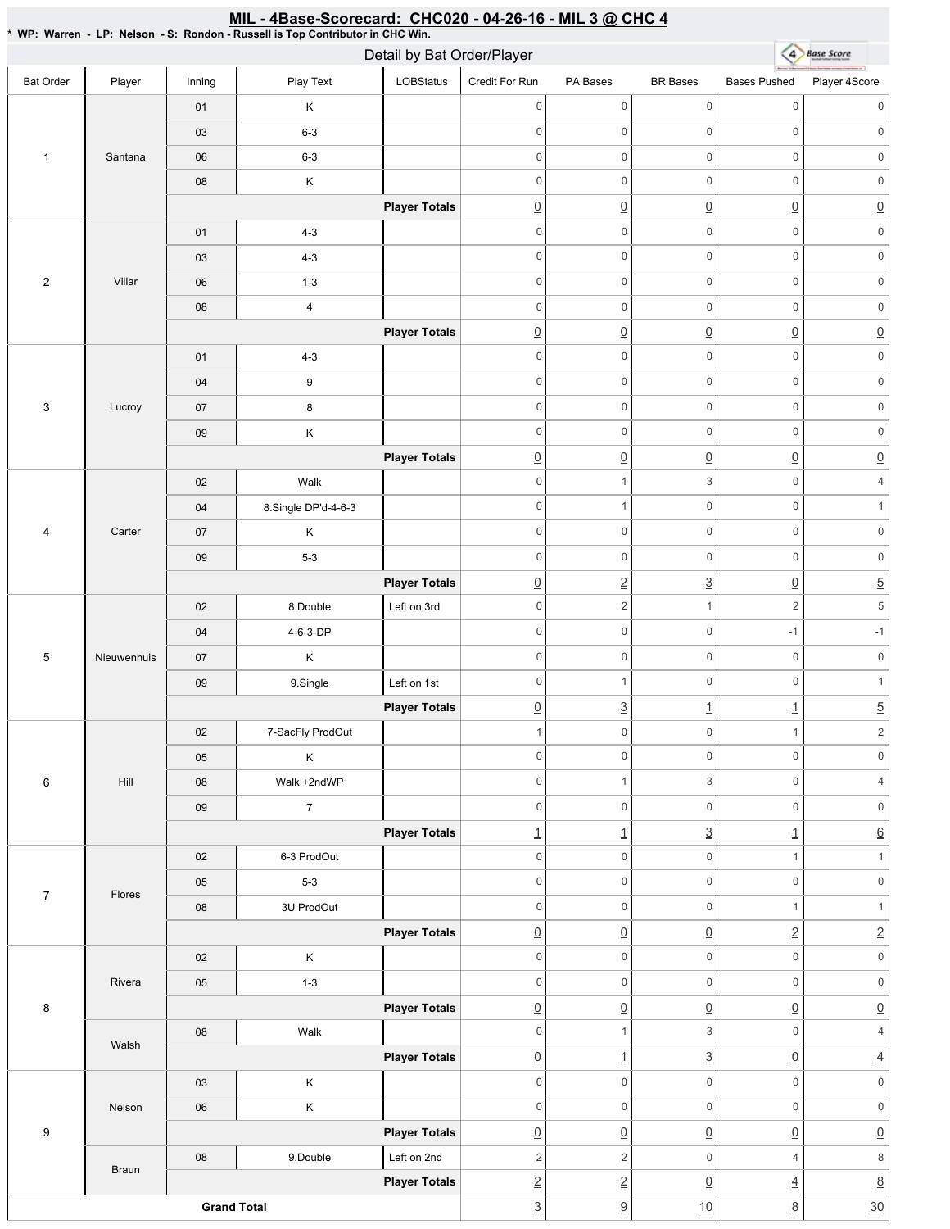### 4 Base Score Detail by Bat Order/Player Bat Order | Player | Inning | PlayText | LOBStatus Credit For Run PA Bases BR Bases Bases Pushed Player 4Score 0 0 0 0 0 0 01 K 03 6-3 0 0 0 0 0 0 1 Santana 06 6-3 0 0 0 0 0 0 08 K 0 0 0 0 0 0 **Player Totals**  $\overline{0}$   $\overline{0}$   $\overline{0}$   $\overline{0}$   $\overline{0}$   $\overline{0}$   $\overline{0}$ 01 4-3 0 0 0 0 0 0 03 4-3 0 0 0 0 0 0 2 Villar 06 1-3 0 0 0 0 0 0 08 4 0 0 0 0 0 0 **Player Totals**  $\begin{array}{ccc} \boxed{0} & \boxed{0} & \boxed{0} & \boxed{0} & \boxed{0} \end{array}$ 01 4-3 0 0 0 0 0 0 0 0 0 0 0 0 04 9 3 Lucroy 0 0 0 0 0 0 07 8 0 0 0 0 0 0 09 K **Player Totals**  $\overline{0}$   $\overline{0}$   $\overline{0}$   $\overline{0}$   $\overline{0}$   $\overline{0}$   $\overline{0}$ 02 | Walk 0 1 3 0 4 04 8.Single DP'd-4-6-3 0 0 1 0 1 4 Carter 07 K 0 0 0 0 0 0 09 5-3 0 0 0 0 0 0 **Player Totals**  $\boxed{0}$  2 3  $\boxed{0}$  5 02 8.Double Left on 3rd 0 2 1 2 5 04 **4-6-3-DP** 0 0 -1 -1 5 Nieuwenhuis 0 0 0 0 0 0 07 K 09 | 9.Single | Left on 1st 0 0 1 0 1 **Player Totals**  $\boxed{0}$   $\boxed{3}$   $\boxed{1}$   $\boxed{1}$   $\boxed{5}$ 02 7-SacFly ProdOut 1 0 0 1 2 0 0 0 0 0 0 05 K 6 Hill 08 | Walk +2ndWP 0 1 3 0 4 0 0 0 0 0 0 09 7 **Player Totals** 1 1 3 1 6 02 6-3 ProdOut 0 0 1 1 1 05 5-3 0 0 0 0 0 0 7 Flores 08 3U ProdOut  $0 \qquad 0 \qquad 0 \qquad 1 \qquad 1$ **Player Totals** 0 0 0 2 2 02 K 0 0 0 0 0 0 Rivera 05 1-3 0 0 0 0 0 0 8 **Player Totals** 0 0 0 0 0 08 | Walk 0 1 3 0 4 Walsh **Player Totals**  $\boxed{0}$  1  $\boxed{3}$   $\boxed{0}$  4 03 K 0 0 0 0 0 0 Nelson 0 0 0 0 0 0 06 K 9 **Player Totals**  $\overline{0}$   $\overline{0}$   $\overline{0}$   $\overline{0}$   $\overline{0}$   $\overline{0}$   $\overline{0}$ 08 9.Double Left on 2nd 2  $2$  0 4 8 Braun **Player Totals** 2 2 0 4 8 **Grand Total**  $\frac{3}{2}$  9 10 8 30

## MIL - 4Base-Scorecard: CHC020 - 04-26-16 - MIL 3 @ CHC 4

\* WP: Warren - LP: Nelson - S: Rondon - Russell is Top Contributor in CHC Win.